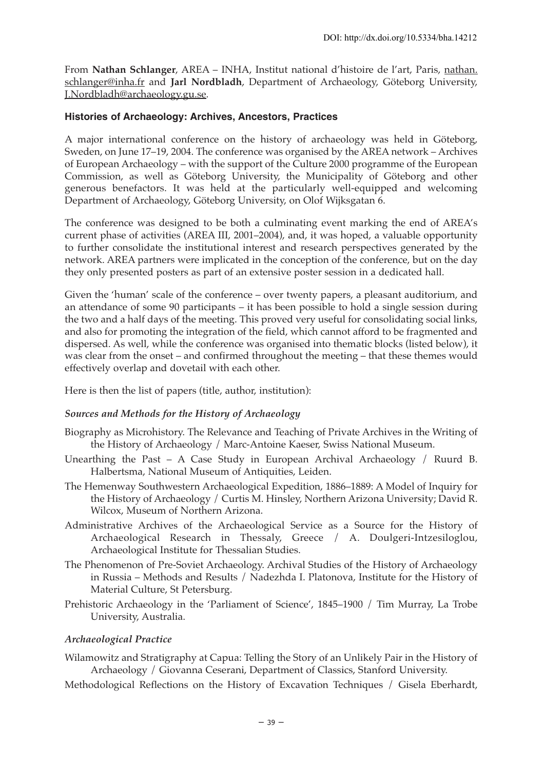From **Nathan Schlanger**, AREA – INHA, Institut national d'histoire de l'art, Paris, nathan. schlanger@inha.fr and **Jarl Nordbladh**, Department of Archaeology, Göteborg University, J.Nordbladh@archaeology.gu.se.

### **Histories of Archaeology: Archives, Ancestors, Practices**

A major international conference on the history of archaeology was held in Göteborg, Sweden, on June 17–19, 2004. The conference was organised by the AREA network – Archives of European Archaeology – with the support of the Culture 2000 programme of the European Commission, as well as Göteborg University, the Municipality of Göteborg and other generous benefactors. It was held at the particularly well-equipped and welcoming Department of Archaeology, Göteborg University, on Olof Wijksgatan 6.

The conference was designed to be both a culminating event marking the end of AREA's current phase of activities (AREA III, 2001–2004), and, it was hoped, a valuable opportunity to further consolidate the institutional interest and research perspectives generated by the network. AREA partners were implicated in the conception of the conference, but on the day they only presented posters as part of an extensive poster session in a dedicated hall.

Given the 'human' scale of the conference – over twenty papers, a pleasant auditorium, and an attendance of some 90 participants – it has been possible to hold a single session during the two and a half days of the meeting. This proved very useful for consolidating social links, and also for promoting the integration of the field, which cannot afford to be fragmented and dispersed. As well, while the conference was organised into thematic blocks (listed below), it was clear from the onset – and confirmed throughout the meeting – that these themes would effectively overlap and dovetail with each other.

Here is then the list of papers (title, author, institution):

### *Sources and Methods for the History of Archaeology*

- Biography as Microhistory. The Relevance and Teaching of Private Archives in the Writing of the History of Archaeology / Marc-Antoine Kaeser, Swiss National Museum.
- Unearthing the Past A Case Study in European Archival Archaeology / Ruurd B. Halbertsma, National Museum of Antiquities, Leiden.
- The Hemenway Southwestern Archaeological Expedition, 1886–1889: A Model of Inquiry for the History of Archaeology / Curtis M. Hinsley, Northern Arizona University; David R. Wilcox, Museum of Northern Arizona.
- Administrative Archives of the Archaeological Service as a Source for the History of Archaeological Research in Thessaly, Greece / A. Doulgeri-Intzesiloglou, Archaeological Institute for Thessalian Studies.
- The Phenomenon of Pre-Soviet Archaeology. Archival Studies of the History of Archaeology in Russia – Methods and Results / Nadezhda I. Platonova, Institute for the History of Material Culture, St Petersburg.
- Prehistoric Archaeology in the 'Parliament of Science', 1845–1900 / Tim Murray, La Trobe University, Australia.

### *Archaeological Practice*

Wilamowitz and Stratigraphy at Capua: Telling the Story of an Unlikely Pair in the History of Archaeology / Giovanna Ceserani, Department of Classics, Stanford University.

Methodological Reflections on the History of Excavation Techniques / Gisela Eberhardt,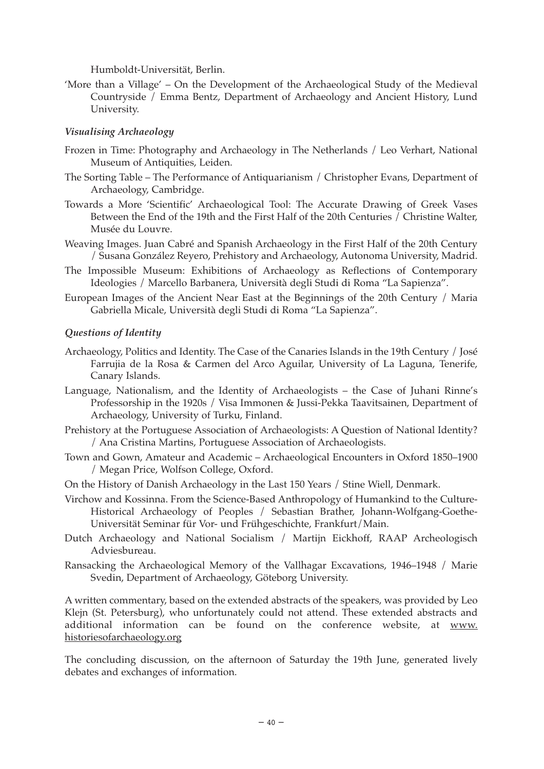Humboldt-Universität, Berlin.

'More than a Village' – On the Development of the Archaeological Study of the Medieval Countryside / Emma Bentz, Department of Archaeology and Ancient History, Lund University.

# *Visualising Archaeology*

- Frozen in Time: Photography and Archaeology in The Netherlands / Leo Verhart, National Museum of Antiquities, Leiden.
- The Sorting Table The Performance of Antiquarianism / Christopher Evans, Department of Archaeology, Cambridge.
- Towards a More 'Scientific' Archaeological Tool: The Accurate Drawing of Greek Vases Between the End of the 19th and the First Half of the 20th Centuries  $\bar{I}$  Christine Walter, Musée du Louvre.
- Weaving Images. Juan Cabré and Spanish Archaeology in the First Half of the 20th Century / Susana González Reyero, Prehistory and Archaeology, Autonoma University, Madrid.
- The Impossible Museum: Exhibitions of Archaeology as Reflections of Contemporary Ideologies / Marcello Barbanera, Università degli Studi di Roma "La Sapienza".
- European Images of the Ancient Near East at the Beginnings of the 20th Century / Maria Gabriella Micale, Università degli Studi di Roma "La Sapienza".

## *Questions of Identity*

- Archaeology, Politics and Identity. The Case of the Canaries Islands in the 19th Century / José Farrujia de la Rosa & Carmen del Arco Aguilar, University of La Laguna, Tenerife, Canary Islands.
- Language, Nationalism, and the Identity of Archaeologists the Case of Juhani Rinne's Professorship in the 1920s / Visa Immonen & Jussi-Pekka Taavitsainen, Department of Archaeology, University of Turku, Finland.
- Prehistory at the Portuguese Association of Archaeologists: A Question of National Identity? / Ana Cristina Martins, Portuguese Association of Archaeologists.
- Town and Gown, Amateur and Academic Archaeological Encounters in Oxford 1850–1900 / Megan Price, Wolfson College, Oxford.
- On the History of Danish Archaeology in the Last 150 Years / Stine Wiell, Denmark.
- Virchow and Kossinna. From the Science-Based Anthropology of Humankind to the Culture-Historical Archaeology of Peoples / Sebastian Brather, Johann-Wolfgang-Goethe-Universität Seminar für Vor- und Frühgeschichte, Frankfurt/Main.
- Dutch Archaeology and National Socialism / Martijn Eickhoff, RAAP Archeologisch Adviesbureau.
- Ransacking the Archaeological Memory of the Vallhagar Excavations, 1946–1948 / Marie Svedin, Department of Archaeology, Göteborg University.

A written commentary, based on the extended abstracts of the speakers, was provided by Leo Klejn (St. Petersburg), who unfortunately could not attend. These extended abstracts and additional information can be found on the conference website, at www. historiesofarchaeology.org

The concluding discussion, on the afternoon of Saturday the 19th June, generated lively debates and exchanges of information.